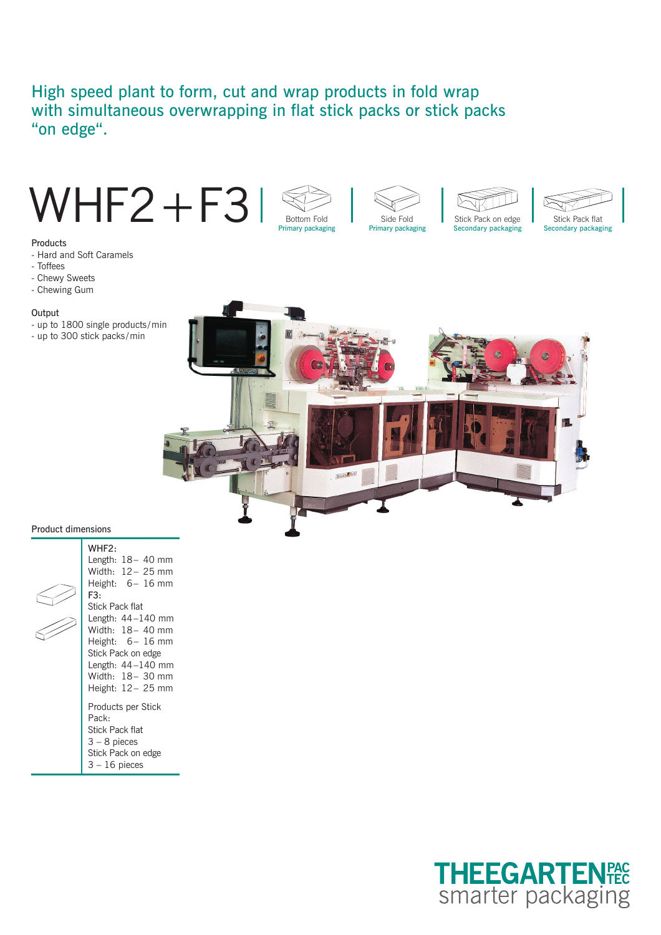# High speed plant to form, cut and wrap products in fold wrap with simultaneous overwrapping in flat stick packs or stick packs "on edge".





- Hard and Soft Caramels
- Toffees
- Chewy Sweets
- Chewing Gum

#### **Output**

- up to 1800 single products / min
- up to 300 stick packs / min



Primary packaging Secondary packaging Secondary packaging Side Fold **Stick Pack on edge** Stick Pack flat

#### Product dimensions

| WHF2:<br>Length: $18-40$ mm<br>Width: 12 – 25 mm<br>Height: $6-16$ mm<br>F3:<br>Stick Pack flat<br>Length: $44-140$ mm<br>Width: 18- 40 mm<br>Height: $6-16$ mm<br>Stick Pack on edge<br>Length: $44-140$ mm<br>Width: 18 - 30 mm<br>Height: 12 – 25 mm |
|---------------------------------------------------------------------------------------------------------------------------------------------------------------------------------------------------------------------------------------------------------|
| Products per Stick<br>Pack:<br><b>Stick Pack flat</b><br>$3 - 8$ pieces<br>Stick Pack on edge<br>$3 - 16$ pieces                                                                                                                                        |